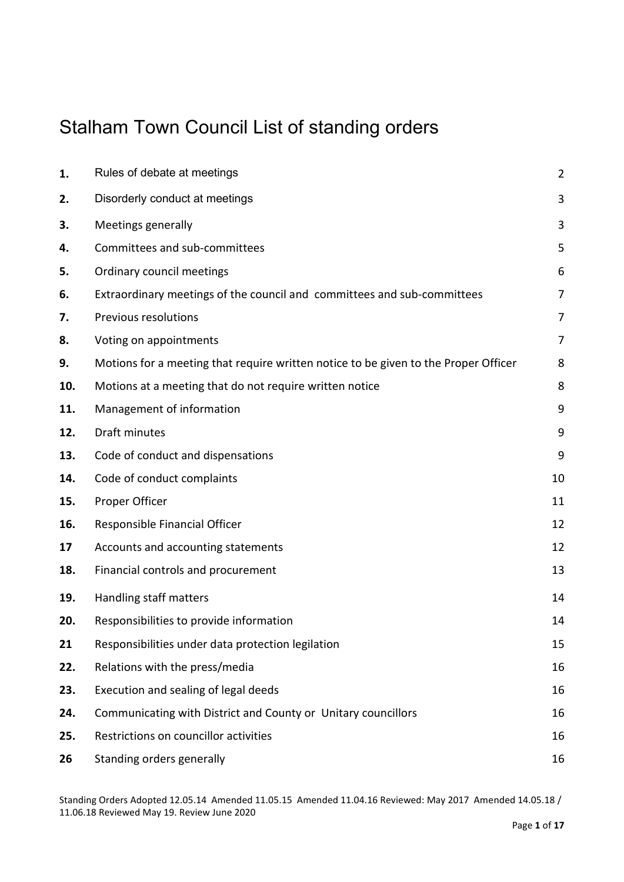#### Stalham Town Council List of standing orders

| 1.  | Rules of debate at meetings                                                         | $\overline{2}$ |
|-----|-------------------------------------------------------------------------------------|----------------|
| 2.  | Disorderly conduct at meetings                                                      | 3              |
| 3.  | Meetings generally                                                                  | 3              |
| 4.  | Committees and sub-committees                                                       | 5              |
| 5.  | Ordinary council meetings                                                           | 6              |
| 6.  | Extraordinary meetings of the council and committees and sub-committees             | 7              |
| 7.  | Previous resolutions                                                                | 7              |
| 8.  | Voting on appointments                                                              | 7              |
| 9.  | Motions for a meeting that require written notice to be given to the Proper Officer | 8              |
| 10. | Motions at a meeting that do not require written notice                             | 8              |
| 11. | Management of information                                                           | 9              |
| 12. | Draft minutes                                                                       | 9              |
| 13. | Code of conduct and dispensations                                                   | 9              |
| 14. | Code of conduct complaints                                                          | 10             |
| 15. | Proper Officer                                                                      | 11             |
| 16. | Responsible Financial Officer                                                       | 12             |
| 17  | Accounts and accounting statements                                                  | 12             |
| 18. | Financial controls and procurement                                                  | 13             |
| 19. | Handling staff matters                                                              | 14             |
| 20. | Responsibilities to provide information                                             | 14             |
| 21  | Responsibilities under data protection legilation                                   | 15             |
| 22. | Relations with the press/media                                                      | 16             |
| 23. | Execution and sealing of legal deeds                                                | 16             |
| 24. | Communicating with District and County or Unitary councillors                       | 16             |
| 25. | Restrictions on councillor activities                                               | 16             |
| 26  | Standing orders generally                                                           | 16             |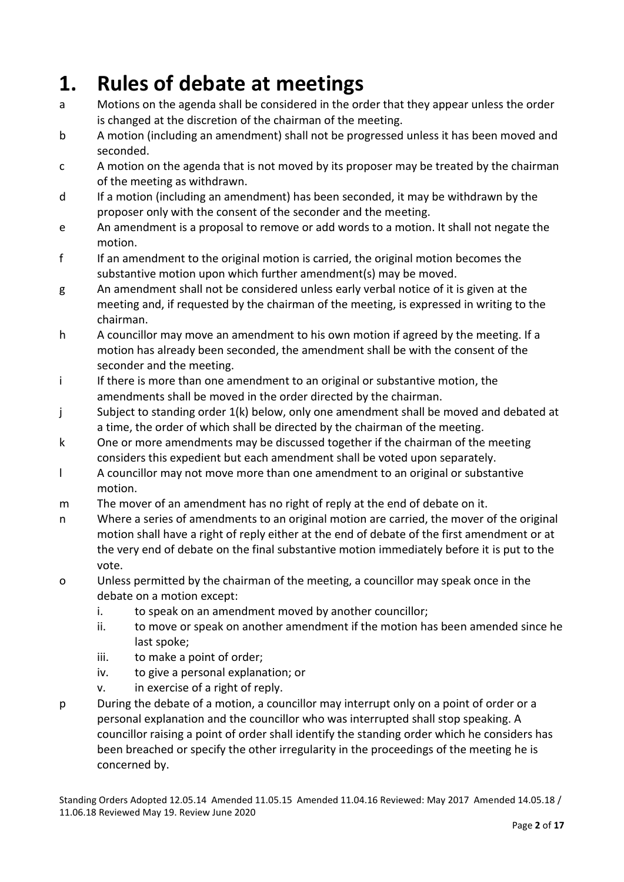## **1. Rules of debate at meetings**

- a Motions on the agenda shall be considered in the order that they appear unless the order is changed at the discretion of the chairman of the meeting.
- b A motion (including an amendment) shall not be progressed unless it has been moved and seconded.
- c A motion on the agenda that is not moved by its proposer may be treated by the chairman of the meeting as withdrawn.
- d If a motion (including an amendment) has been seconded, it may be withdrawn by the proposer only with the consent of the seconder and the meeting.
- e An amendment is a proposal to remove or add words to a motion. It shall not negate the motion.
- f If an amendment to the original motion is carried, the original motion becomes the substantive motion upon which further amendment(s) may be moved.
- g An amendment shall not be considered unless early verbal notice of it is given at the meeting and, if requested by the chairman of the meeting, is expressed in writing to the chairman.
- h A councillor may move an amendment to his own motion if agreed by the meeting. If a motion has already been seconded, the amendment shall be with the consent of the seconder and the meeting.
- i If there is more than one amendment to an original or substantive motion, the amendments shall be moved in the order directed by the chairman.
- j Subject to standing order 1(k) below, only one amendment shall be moved and debated at a time, the order of which shall be directed by the chairman of the meeting.
- k One or more amendments may be discussed together if the chairman of the meeting considers this expedient but each amendment shall be voted upon separately.
- l A councillor may not move more than one amendment to an original or substantive motion.
- m The mover of an amendment has no right of reply at the end of debate on it.
- n Where a series of amendments to an original motion are carried, the mover of the original motion shall have a right of reply either at the end of debate of the first amendment or at the very end of debate on the final substantive motion immediately before it is put to the vote.
- o Unless permitted by the chairman of the meeting, a councillor may speak once in the debate on a motion except:
	- i. to speak on an amendment moved by another councillor;
	- ii. to move or speak on another amendment if the motion has been amended since he last spoke;
	- iii. to make a point of order;
	- iv. to give a personal explanation; or
	- v. in exercise of a right of reply.
- p During the debate of a motion, a councillor may interrupt only on a point of order or a personal explanation and the councillor who was interrupted shall stop speaking. A councillor raising a point of order shall identify the standing order which he considers has been breached or specify the other irregularity in the proceedings of the meeting he is concerned by.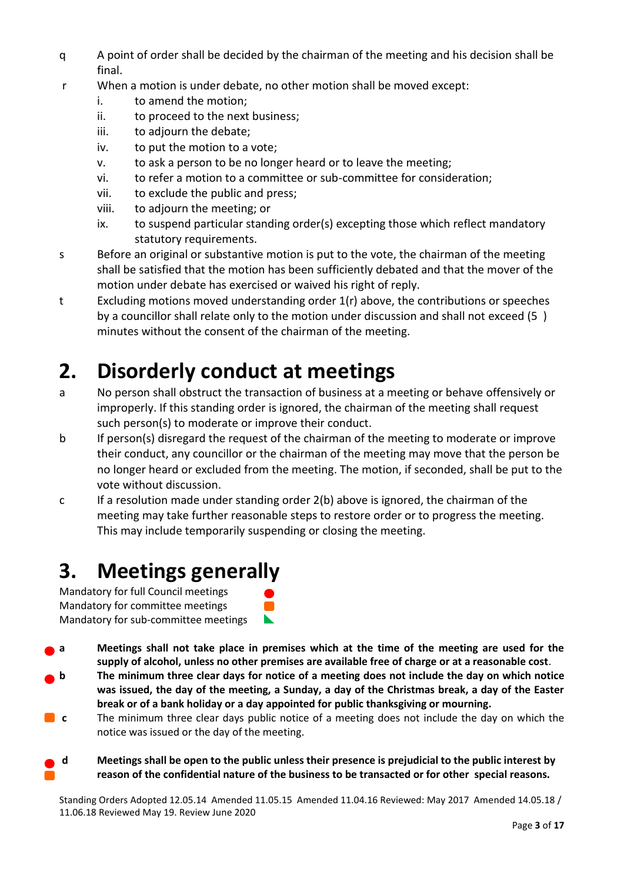- q A point of order shall be decided by the chairman of the meeting and his decision shall be final.
- r When a motion is under debate, no other motion shall be moved except:
	- i. to amend the motion;
	- ii. to proceed to the next business;
	- iii. to adjourn the debate;
	- iv. to put the motion to a vote;
	- v. to ask a person to be no longer heard or to leave the meeting;
	- vi. to refer a motion to a committee or sub-committee for consideration;
	- vii. to exclude the public and press;
	- viii. to adjourn the meeting; or
	- ix. to suspend particular standing order(s) excepting those which reflect mandatory statutory requirements.
- s Before an original or substantive motion is put to the vote, the chairman of the meeting shall be satisfied that the motion has been sufficiently debated and that the mover of the motion under debate has exercised or waived his right of reply.
- t Excluding motions moved understanding order 1(r) above, the contributions or speeches by a councillor shall relate only to the motion under discussion and shall not exceed (5 ) minutes without the consent of the chairman of the meeting.

## **2. Disorderly conduct at meetings**

- a No person shall obstruct the transaction of business at a meeting or behave offensively or improperly. If this standing order is ignored, the chairman of the meeting shall request such person(s) to moderate or improve their conduct.
- b If person(s) disregard the request of the chairman of the meeting to moderate or improve their conduct, any councillor or the chairman of the meeting may move that the person be no longer heard or excluded from the meeting. The motion, if seconded, shall be put to the vote without discussion.
- c If a resolution made under standing order 2(b) above is ignored, the chairman of the meeting may take further reasonable steps to restore order or to progress the meeting. This may include temporarily suspending or closing the meeting.

## **3. Meetings generally**

Mandatory for full Council meetings Mandatory for committee meetings Mandatory for sub-committee meetings



- **a Meetings shall not take place in premises which at the time of the meeting are used for the supply of alcohol, unless no other premises are available free of charge or at a reasonable cost**.
- **b The minimum three clear days for notice of a meeting does not include the day on which notice was issued, the day of the meeting, a Sunday, a day of the Christmas break, a day of the Easter break or of a bank holiday or a day appointed for public thanksgiving or mourning.**
- **c** The minimum three clear days public notice of a meeting does not include the day on which the notice was issued or the day of the meeting.
- **d Meetings shall be open to the public unless their presence is prejudicial to the public interest by reason of the confidential nature of the business to be transacted or for other special reasons.**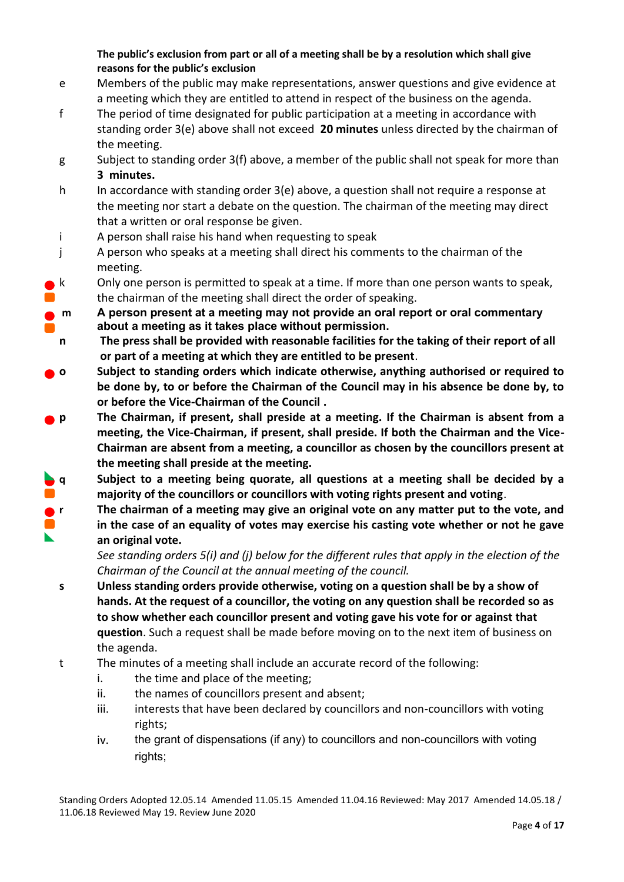**The public's exclusion from part or all of a meeting shall be by a resolution which shall give reasons for the public's exclusion**

- e Members of the public may make representations, answer questions and give evidence at a meeting which they are entitled to attend in respect of the business on the agenda.
- f The period of time designated for public participation at a meeting in accordance with standing order 3(e) above shall not exceed **20 minutes** unless directed by the chairman of the meeting.
- g Subject to standing order 3(f) above, a member of the public shall not speak for more than **3 minutes.**
- h In accordance with standing order 3(e) above, a question shall not require a response at the meeting nor start a debate on the question. The chairman of the meeting may direct that a written or oral response be given.
- i A person shall raise his hand when requesting to speak
- j A person who speaks at a meeting shall direct his comments to the chairman of the meeting.
- $\mathsf{k}$  Cnly one person is permitted to speak at a time. If more than one person wants to speak, the chairman of the meeting shall direct the order of speaking.
- **m A person present at a meeting may not provide an oral report or oral commentary about a meeting as it takes place without permission.**
- **n The press shall be provided with reasonable facilities for the taking of their report of all or part of a meeting at which they are entitled to be present**.
- **o Subject to standing orders which indicate otherwise, anything authorised or required to be done by, to or before the Chairman of the Council may in his absence be done by, to or before the Vice-Chairman of the Council .**
- **p The Chairman, if present, shall preside at a meeting. If the Chairman is absent from a meeting, the Vice-Chairman, if present, shall preside. If both the Chairman and the Vice-Chairman are absent from a meeting, a councillor as chosen by the councillors present at the meeting shall preside at the meeting.**
- **q Subject to a meeting being quorate, all questions at a meeting shall be decided by a majority of the councillors or councillors with voting rights present and voting**.
- **<b>F The chairman of a meeting may give an original vote on any matter put to the vote, and**
- $\blacksquare$ **in the case of an equality of votes may exercise his casting vote whether or not he gave an original vote.**

*See standing orders 5(i) and (j) below for the different rules that apply in the election of the Chairman of the Council at the annual meeting of the council.*

- **s Unless standing orders provide otherwise, voting on a question shall be by a show of hands. At the request of a councillor, the voting on any question shall be recorded so as to show whether each councillor present and voting gave his vote for or against that question**. Such a request shall be made before moving on to the next item of business on the agenda.
- t The minutes of a meeting shall include an accurate record of the following:
	- i. the time and place of the meeting;
	- ii. the names of councillors present and absent;
	- iii. interests that have been declared by councillors and non-councillors with voting rights;
	- iv. the grant of dispensations (if any) to councillors and non-councillors with voting rights;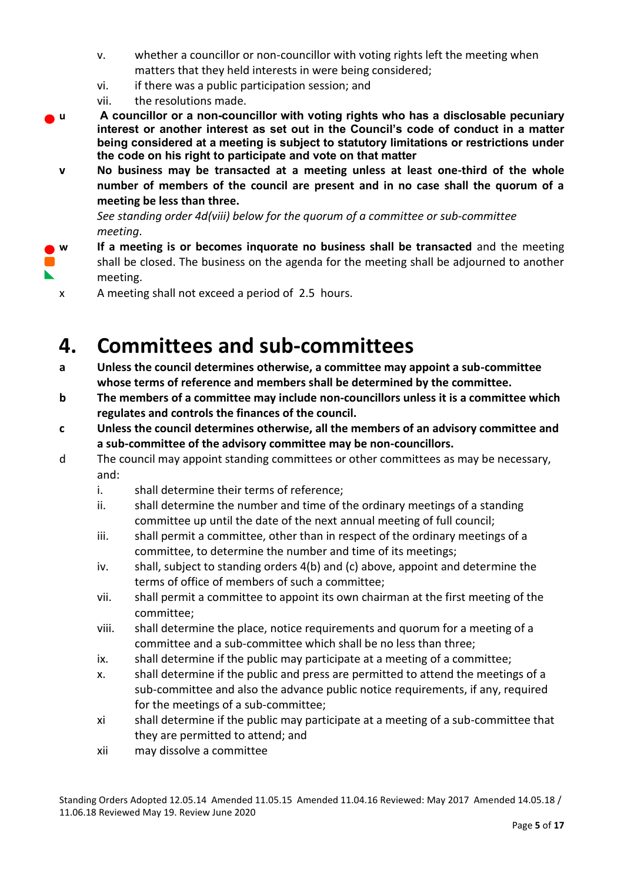- v. whether a councillor or non-councillor with voting rights left the meeting when matters that they held interests in were being considered;
- vi. if there was a public participation session; and
- vii. the resolutions made.
- **u A councillor or a non-councillor with voting rights who has a disclosable pecuniary interest or another interest as set out in the Council's code of conduct in a matter being considered at a meeting is subject to statutory limitations or restrictions under the code on his right to participate and vote on that matter**
	- **v No business may be transacted at a meeting unless at least one-third of the whole number of members of the council are present and in no case shall the quorum of a meeting be less than three.**

*See standing order 4d(viii) below for the quorum of a committee or sub-committee meeting*.

- **w If a meeting is or becomes inquorate no business shall be transacted** and the meeting shall be closed. The business on the agenda for the meeting shall be adjourned to another meeting.
	- x A meeting shall not exceed a period of 2.5 hours.

### **4. Committees and sub-committees**

- **a Unless the council determines otherwise, a committee may appoint a sub-committee whose terms of reference and members shall be determined by the committee.**
- **b The members of a committee may include non-councillors unless it is a committee which regulates and controls the finances of the council.**
- **c Unless the council determines otherwise, all the members of an advisory committee and a sub-committee of the advisory committee may be non-councillors.**
- d The council may appoint standing committees or other committees as may be necessary, and:
	- i. shall determine their terms of reference;
	- ii. shall determine the number and time of the ordinary meetings of a standing committee up until the date of the next annual meeting of full council;
	- iii. shall permit a committee, other than in respect of the ordinary meetings of a committee, to determine the number and time of its meetings;
	- iv. shall, subject to standing orders 4(b) and (c) above, appoint and determine the terms of office of members of such a committee;
	- vii. shall permit a committee to appoint its own chairman at the first meeting of the committee;
	- viii. shall determine the place, notice requirements and quorum for a meeting of a committee and a sub-committee which shall be no less than three;
	- ix. shall determine if the public may participate at a meeting of a committee;
	- x. shall determine if the public and press are permitted to attend the meetings of a sub-committee and also the advance public notice requirements, if any, required for the meetings of a sub-committee;
	- xi shall determine if the public may participate at a meeting of a sub-committee that they are permitted to attend; and
	- xii may dissolve a committee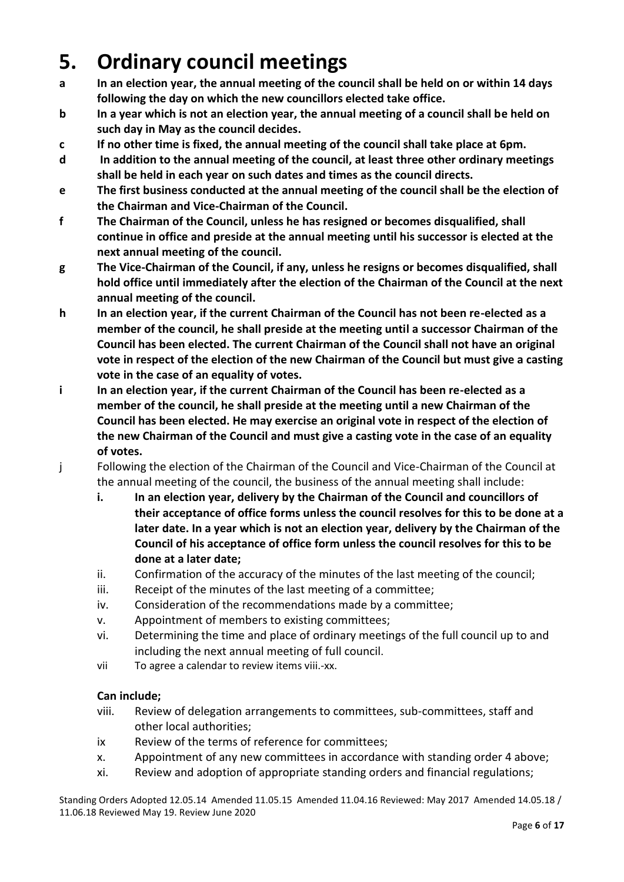## **5. Ordinary council meetings**

- **a In an election year, the annual meeting of the council shall be held on or within 14 days following the day on which the new councillors elected take office.**
- **b In a year which is not an election year, the annual meeting of a council shall be held on such day in May as the council decides.**
- **c If no other time is fixed, the annual meeting of the council shall take place at 6pm.**
- **d In addition to the annual meeting of the council, at least three other ordinary meetings shall be held in each year on such dates and times as the council directs.**
- **e The first business conducted at the annual meeting of the council shall be the election of the Chairman and Vice-Chairman of the Council.**
- **f The Chairman of the Council, unless he has resigned or becomes disqualified, shall continue in office and preside at the annual meeting until his successor is elected at the next annual meeting of the council.**
- **g The Vice-Chairman of the Council, if any, unless he resigns or becomes disqualified, shall hold office until immediately after the election of the Chairman of the Council at the next annual meeting of the council.**
- **h In an election year, if the current Chairman of the Council has not been re-elected as a member of the council, he shall preside at the meeting until a successor Chairman of the Council has been elected. The current Chairman of the Council shall not have an original vote in respect of the election of the new Chairman of the Council but must give a casting vote in the case of an equality of votes.**
- **i In an election year, if the current Chairman of the Council has been re-elected as a member of the council, he shall preside at the meeting until a new Chairman of the Council has been elected. He may exercise an original vote in respect of the election of the new Chairman of the Council and must give a casting vote in the case of an equality of votes.**
- j Following the election of the Chairman of the Council and Vice-Chairman of the Council at the annual meeting of the council, the business of the annual meeting shall include:
	- **i. In an election year, delivery by the Chairman of the Council and councillors of their acceptance of office forms unless the council resolves for this to be done at a later date. In a year which is not an election year, delivery by the Chairman of the Council of his acceptance of office form unless the council resolves for this to be done at a later date;**
	- ii. Confirmation of the accuracy of the minutes of the last meeting of the council;
	- iii. Receipt of the minutes of the last meeting of a committee;
	- iv. Consideration of the recommendations made by a committee;
	- v. Appointment of members to existing committees;
	- vi. Determining the time and place of ordinary meetings of the full council up to and including the next annual meeting of full council.
	- vii To agree a calendar to review items viii.-xx.

#### **Can include;**

- viii. Review of delegation arrangements to committees, sub-committees, staff and other local authorities;
- ix Review of the terms of reference for committees;
- x. Appointment of any new committees in accordance with standing order 4 above;
- xi. Review and adoption of appropriate standing orders and financial regulations;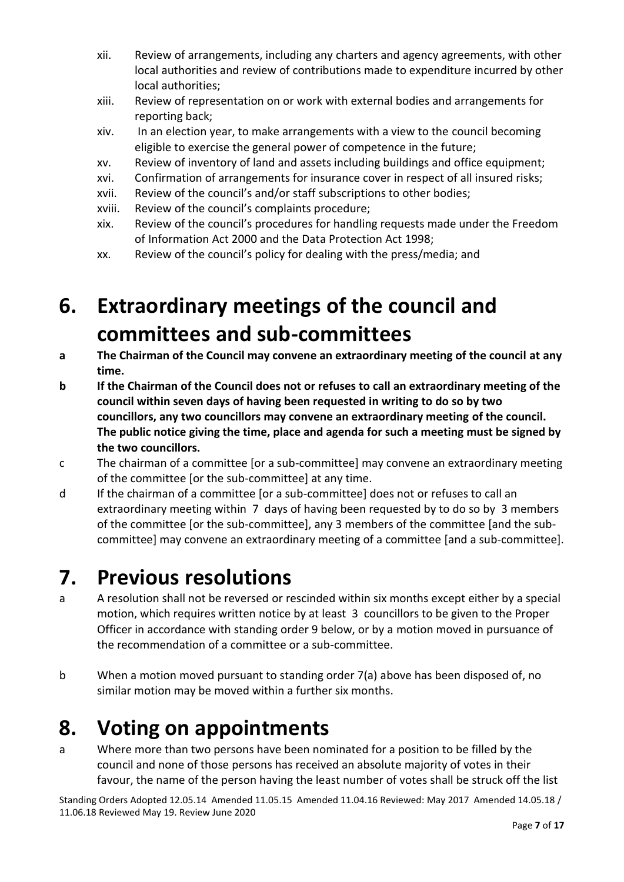- xii. Review of arrangements, including any charters and agency agreements, with other local authorities and review of contributions made to expenditure incurred by other local authorities;
- xiii. Review of representation on or work with external bodies and arrangements for reporting back;
- xiv. In an election year, to make arrangements with a view to the council becoming eligible to exercise the general power of competence in the future;
- xv. Review of inventory of land and assets including buildings and office equipment;
- xvi. Confirmation of arrangements for insurance cover in respect of all insured risks;
- xvii. Review of the council's and/or staff subscriptions to other bodies;
- xviii. Review of the council's complaints procedure;
- xix. Review of the council's procedures for handling requests made under the Freedom of Information Act 2000 and the Data Protection Act 1998;
- xx. Review of the council's policy for dealing with the press/media; and

## **6. Extraordinary meetings of the council and committees and sub-committees**

- **a The Chairman of the Council may convene an extraordinary meeting of the council at any time.**
- **b If the Chairman of the Council does not or refuses to call an extraordinary meeting of the council within seven days of having been requested in writing to do so by two councillors, any two councillors may convene an extraordinary meeting of the council. The public notice giving the time, place and agenda for such a meeting must be signed by the two councillors.**
- c The chairman of a committee [or a sub-committee] may convene an extraordinary meeting of the committee [or the sub-committee] at any time.
- d If the chairman of a committee [or a sub-committee] does not or refuses to call an extraordinary meeting within 7 days of having been requested by to do so by 3 members of the committee [or the sub-committee], any 3 members of the committee [and the subcommittee] may convene an extraordinary meeting of a committee [and a sub-committee].

#### **7. Previous resolutions**

- a A resolution shall not be reversed or rescinded within six months except either by a special motion, which requires written notice by at least 3 councillors to be given to the Proper Officer in accordance with standing order 9 below, or by a motion moved in pursuance of the recommendation of a committee or a sub-committee.
- b When a motion moved pursuant to standing order 7(a) above has been disposed of, no similar motion may be moved within a further six months.

## **8. Voting on appointments**

a Where more than two persons have been nominated for a position to be filled by the council and none of those persons has received an absolute majority of votes in their favour, the name of the person having the least number of votes shall be struck off the list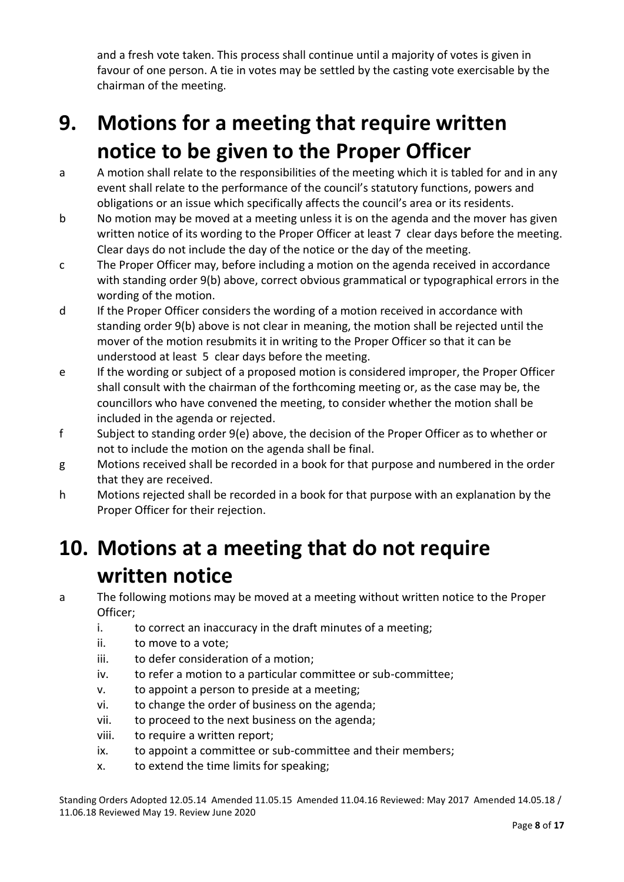and a fresh vote taken. This process shall continue until a majority of votes is given in favour of one person. A tie in votes may be settled by the casting vote exercisable by the chairman of the meeting.

## **9. Motions for a meeting that require written notice to be given to the Proper Officer**

- a A motion shall relate to the responsibilities of the meeting which it is tabled for and in any event shall relate to the performance of the council's statutory functions, powers and obligations or an issue which specifically affects the council's area or its residents.
- b No motion may be moved at a meeting unless it is on the agenda and the mover has given written notice of its wording to the Proper Officer at least 7 clear days before the meeting. Clear days do not include the day of the notice or the day of the meeting.
- c The Proper Officer may, before including a motion on the agenda received in accordance with standing order 9(b) above, correct obvious grammatical or typographical errors in the wording of the motion.
- d If the Proper Officer considers the wording of a motion received in accordance with standing order 9(b) above is not clear in meaning, the motion shall be rejected until the mover of the motion resubmits it in writing to the Proper Officer so that it can be understood at least 5 clear days before the meeting.
- e If the wording or subject of a proposed motion is considered improper, the Proper Officer shall consult with the chairman of the forthcoming meeting or, as the case may be, the councillors who have convened the meeting, to consider whether the motion shall be included in the agenda or rejected.
- f Subject to standing order 9(e) above, the decision of the Proper Officer as to whether or not to include the motion on the agenda shall be final.
- g Motions received shall be recorded in a book for that purpose and numbered in the order that they are received.
- h Motions rejected shall be recorded in a book for that purpose with an explanation by the Proper Officer for their rejection.

## **10. Motions at a meeting that do not require written notice**

- a The following motions may be moved at a meeting without written notice to the Proper Officer;
	- i. to correct an inaccuracy in the draft minutes of a meeting;
	- ii. to move to a vote;
	- iii. to defer consideration of a motion;
	- iv. to refer a motion to a particular committee or sub-committee;
	- v. to appoint a person to preside at a meeting;
	- vi. to change the order of business on the agenda;
	- vii. to proceed to the next business on the agenda;
	- viii. to require a written report;
	- ix. to appoint a committee or sub-committee and their members;
	- x. to extend the time limits for speaking;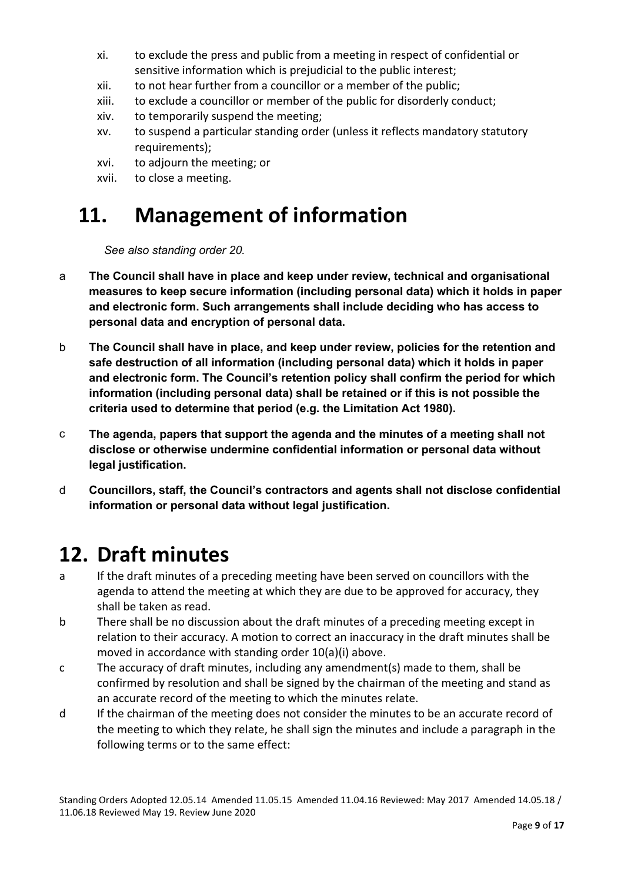- xi. to exclude the press and public from a meeting in respect of confidential or sensitive information which is prejudicial to the public interest;
- xii. to not hear further from a councillor or a member of the public;
- xiii. to exclude a councillor or member of the public for disorderly conduct;
- xiv. to temporarily suspend the meeting;
- xv. to suspend a particular standing order (unless it reflects mandatory statutory requirements);
- xvi. to adjourn the meeting; or
- xvii. to close a meeting.

## **11. Management of information**

*See also standing order 20.*

- a **The Council shall have in place and keep under review, technical and organisational measures to keep secure information (including personal data) which it holds in paper and electronic form. Such arrangements shall include deciding who has access to personal data and encryption of personal data.**
- b **The Council shall have in place, and keep under review, policies for the retention and safe destruction of all information (including personal data) which it holds in paper and electronic form. The Council's retention policy shall confirm the period for which information (including personal data) shall be retained or if this is not possible the criteria used to determine that period (e.g. the Limitation Act 1980).**
- c **The agenda, papers that support the agenda and the minutes of a meeting shall not disclose or otherwise undermine confidential information or personal data without legal justification.**
- d **Councillors, staff, the Council's contractors and agents shall not disclose confidential information or personal data without legal justification.**

#### **12. Draft minutes**

- a If the draft minutes of a preceding meeting have been served on councillors with the agenda to attend the meeting at which they are due to be approved for accuracy, they shall be taken as read.
- b There shall be no discussion about the draft minutes of a preceding meeting except in relation to their accuracy. A motion to correct an inaccuracy in the draft minutes shall be moved in accordance with standing order 10(a)(i) above.
- c The accuracy of draft minutes, including any amendment(s) made to them, shall be confirmed by resolution and shall be signed by the chairman of the meeting and stand as an accurate record of the meeting to which the minutes relate.
- d If the chairman of the meeting does not consider the minutes to be an accurate record of the meeting to which they relate, he shall sign the minutes and include a paragraph in the following terms or to the same effect: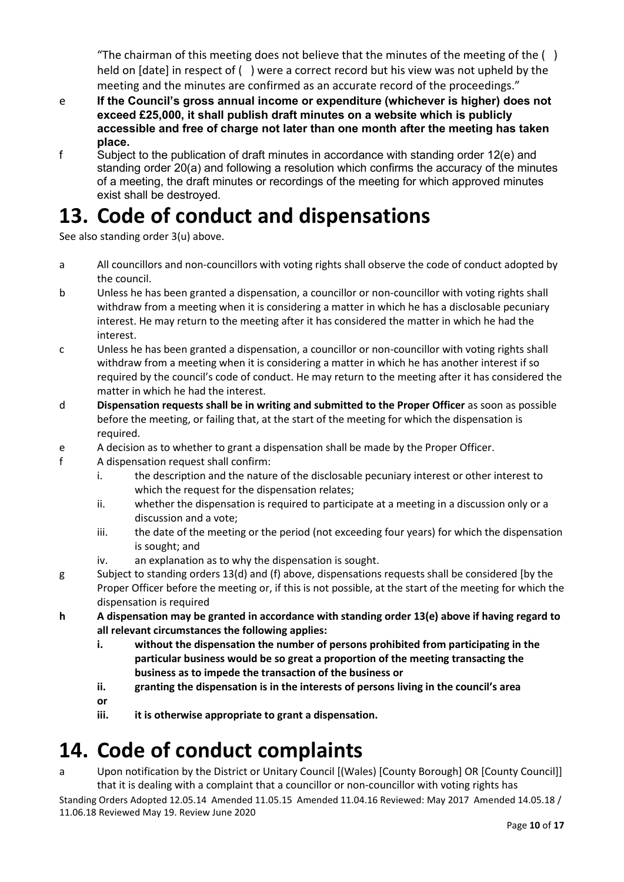"The chairman of this meeting does not believe that the minutes of the meeting of the  $( )$ held on [date] in respect of ( ) were a correct record but his view was not upheld by the meeting and the minutes are confirmed as an accurate record of the proceedings."

- e **If the Council's gross annual income or expenditure (whichever is higher) does not exceed £25,000, it shall publish draft minutes on a website which is publicly accessible and free of charge not later than one month after the meeting has taken place.**
- f Subject to the publication of draft minutes in accordance with standing order 12(e) and standing order 20(a) and following a resolution which confirms the accuracy of the minutes of a meeting, the draft minutes or recordings of the meeting for which approved minutes exist shall be destroyed.

## **13. Code of conduct and dispensations**

See also standing order 3(u) above.

- a All councillors and non-councillors with voting rights shall observe the code of conduct adopted by the council.
- b Unless he has been granted a dispensation, a councillor or non-councillor with voting rights shall withdraw from a meeting when it is considering a matter in which he has a disclosable pecuniary interest. He may return to the meeting after it has considered the matter in which he had the interest.
- c Unless he has been granted a dispensation, a councillor or non-councillor with voting rights shall withdraw from a meeting when it is considering a matter in which he has another interest if so required by the council's code of conduct. He may return to the meeting after it has considered the matter in which he had the interest.
- d **Dispensation requests shall be in writing and submitted to the Proper Officer** as soon as possible before the meeting, or failing that, at the start of the meeting for which the dispensation is required.
- e A decision as to whether to grant a dispensation shall be made by the Proper Officer.
- f A dispensation request shall confirm:
	- i. the description and the nature of the disclosable pecuniary interest or other interest to which the request for the dispensation relates:
	- ii. whether the dispensation is required to participate at a meeting in a discussion only or a discussion and a vote;
	- iii. the date of the meeting or the period (not exceeding four years) for which the dispensation is sought; and
	- iv. an explanation as to why the dispensation is sought.
- g Subject to standing orders 13(d) and (f) above, dispensations requests shall be considered [by the Proper Officer before the meeting or, if this is not possible, at the start of the meeting for which the dispensation is required
- **h A dispensation may be granted in accordance with standing order 13(e) above if having regard to all relevant circumstances the following applies:**
	- **i. without the dispensation the number of persons prohibited from participating in the particular business would be so great a proportion of the meeting transacting the business as to impede the transaction of the business or**
	- **ii. granting the dispensation is in the interests of persons living in the council's area**
	- **or**
	- **iii. it is otherwise appropriate to grant a dispensation.**

## **14. Code of conduct complaints**

Standing Orders Adopted 12.05.14 Amended 11.05.15 Amended 11.04.16 Reviewed: May 2017 Amended 14.05.18 / a Upon notification by the District or Unitary Council [(Wales) [County Borough] OR [County Council]] that it is dealing with a complaint that a councillor or non-councillor with voting rights has

11.06.18 Reviewed May 19. Review June 2020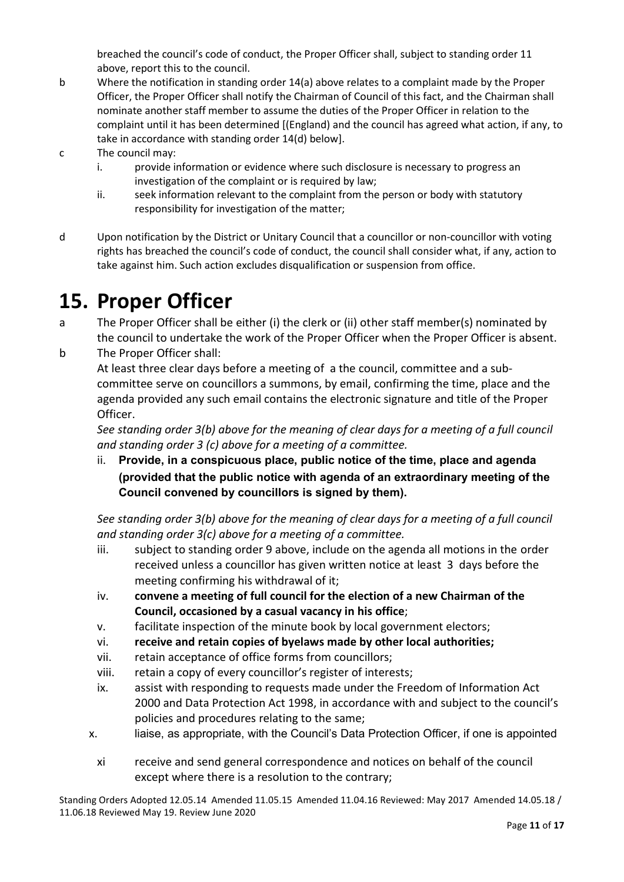breached the council's code of conduct, the Proper Officer shall, subject to standing order 11 above, report this to the council.

- b Where the notification in standing order 14(a) above relates to a complaint made by the Proper Officer, the Proper Officer shall notify the Chairman of Council of this fact, and the Chairman shall nominate another staff member to assume the duties of the Proper Officer in relation to the complaint until it has been determined [(England) and the council has agreed what action, if any, to take in accordance with standing order 14(d) below].
- c The council may:
	- i. provide information or evidence where such disclosure is necessary to progress an investigation of the complaint or is required by law;
	- ii. seek information relevant to the complaint from the person or body with statutory responsibility for investigation of the matter;
- d Upon notification by the District or Unitary Council that a councillor or non-councillor with voting rights has breached the council's code of conduct, the council shall consider what, if any, action to take against him. Such action excludes disqualification or suspension from office.

#### **15. Proper Officer**

- a The Proper Officer shall be either (i) the clerk or (ii) other staff member(s) nominated by the council to undertake the work of the Proper Officer when the Proper Officer is absent.
- b The Proper Officer shall: At least three clear days before a meeting of a the council, committee and a subcommittee serve on councillors a summons, by email, confirming the time, place and the agenda provided any such email contains the electronic signature and title of the Proper Officer.

*See standing order 3(b) above for the meaning of clear days for a meeting of a full council and standing order 3 (c) above for a meeting of a committee.*

ii. **Provide, in a conspicuous place, public notice of the time, place and agenda (provided that the public notice with agenda of an extraordinary meeting of the Council convened by councillors is signed by them).**

*See standing order 3(b) above for the meaning of clear days for a meeting of a full council and standing order 3(c) above for a meeting of a committee.*

- iii. subject to standing order 9 above, include on the agenda all motions in the order received unless a councillor has given written notice at least 3 days before the meeting confirming his withdrawal of it;
- iv. **convene a meeting of full council for the election of a new Chairman of the Council, occasioned by a casual vacancy in his office**;
- v. facilitate inspection of the minute book by local government electors;
- vi. **receive and retain copies of byelaws made by other local authorities;**
- vii. retain acceptance of office forms from councillors;
- viii. retain a copy of every councillor's register of interests;
- ix. assist with responding to requests made under the Freedom of Information Act 2000 and Data Protection Act 1998, in accordance with and subject to the council's policies and procedures relating to the same;
- x. liaise, as appropriate, with the Council's Data Protection Officer, if one is appointed
- xi receive and send general correspondence and notices on behalf of the council except where there is a resolution to the contrary;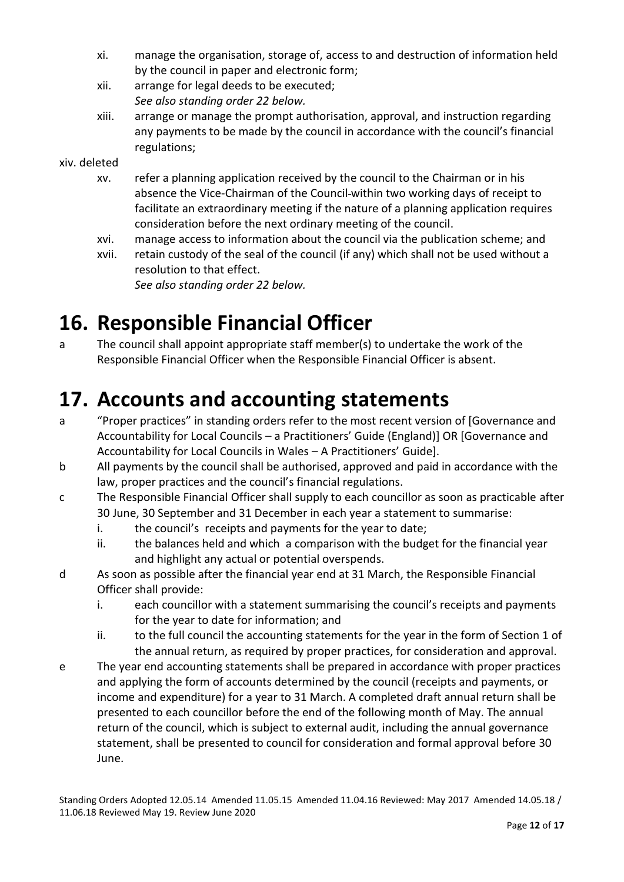- xi. manage the organisation, storage of, access to and destruction of information held by the council in paper and electronic form;
- xii. arrange for legal deeds to be executed; *See also standing order 22 below.*
- xiii. arrange or manage the prompt authorisation, approval, and instruction regarding any payments to be made by the council in accordance with the council's financial regulations;

xiv. deleted

- xv. refer a planning application received by the council to the Chairman or in his absence the Vice-Chairman of the Council within two working days of receipt to facilitate an extraordinary meeting if the nature of a planning application requires consideration before the next ordinary meeting of the council.
- xvi. manage access to information about the council via the publication scheme; and
- xvii. retain custody of the seal of the council (if any) which shall not be used without a resolution to that effect. *See also standing order 22 below.*

### **16. Responsible Financial Officer**

a The council shall appoint appropriate staff member(s) to undertake the work of the Responsible Financial Officer when the Responsible Financial Officer is absent.

## **17. Accounts and accounting statements**

- a "Proper practices" in standing orders refer to the most recent version of [Governance and Accountability for Local Councils – a Practitioners' Guide (England)] OR [Governance and Accountability for Local Councils in Wales – A Practitioners' Guide].
- b All payments by the council shall be authorised, approved and paid in accordance with the law, proper practices and the council's financial regulations.
- c The Responsible Financial Officer shall supply to each councillor as soon as practicable after 30 June, 30 September and 31 December in each year a statement to summarise:
	- i. the council's receipts and payments for the year to date;
	- ii. the balances held and which a comparison with the budget for the financial year and highlight any actual or potential overspends.
- d As soon as possible after the financial year end at 31 March, the Responsible Financial Officer shall provide:
	- i. each councillor with a statement summarising the council's receipts and payments for the year to date for information; and
	- ii. to the full council the accounting statements for the year in the form of Section 1 of the annual return, as required by proper practices, for consideration and approval.
- e The year end accounting statements shall be prepared in accordance with proper practices and applying the form of accounts determined by the council (receipts and payments, or income and expenditure) for a year to 31 March. A completed draft annual return shall be presented to each councillor before the end of the following month of May. The annual return of the council, which is subject to external audit, including the annual governance statement, shall be presented to council for consideration and formal approval before 30 June.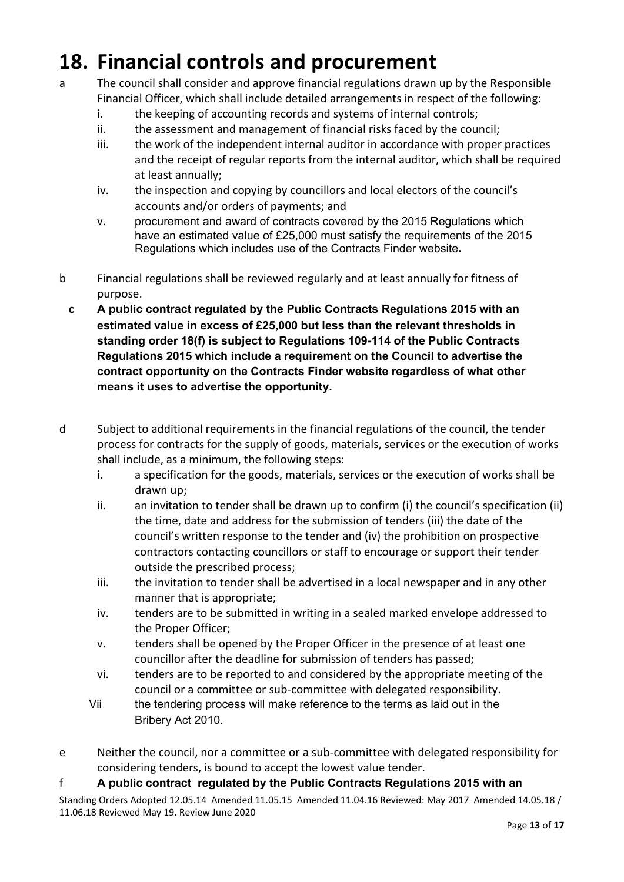## **18. Financial controls and procurement**

- a The council shall consider and approve financial regulations drawn up by the Responsible Financial Officer, which shall include detailed arrangements in respect of the following:
	- i. the keeping of accounting records and systems of internal controls;
	- ii. the assessment and management of financial risks faced by the council;
	- iii. the work of the independent internal auditor in accordance with proper practices and the receipt of regular reports from the internal auditor, which shall be required at least annually;
	- iv. the inspection and copying by councillors and local electors of the council's accounts and/or orders of payments; and
	- v. procurement and award of contracts covered by the 2015 Regulations which have an estimated value of £25,000 must satisfy the requirements of the 2015 Regulations which includes use of the Contracts Finder website**.**
- b Financial regulations shall be reviewed regularly and at least annually for fitness of purpose.
- **c A public contract regulated by the Public Contracts Regulations 2015 with an estimated value in excess of £25,000 but less than the relevant thresholds in standing order 18(f) is subject to Regulations 109-114 of the Public Contracts Regulations 2015 which include a requirement on the Council to advertise the contract opportunity on the Contracts Finder website regardless of what other means it uses to advertise the opportunity.**
- d Subject to additional requirements in the financial regulations of the council, the tender process for contracts for the supply of goods, materials, services or the execution of works shall include, as a minimum, the following steps:
	- i. a specification for the goods, materials, services or the execution of works shall be drawn up;
	- ii. an invitation to tender shall be drawn up to confirm (i) the council's specification (ii) the time, date and address for the submission of tenders (iii) the date of the council's written response to the tender and (iv) the prohibition on prospective contractors contacting councillors or staff to encourage or support their tender outside the prescribed process;
	- iii. the invitation to tender shall be advertised in a local newspaper and in any other manner that is appropriate;
	- iv. tenders are to be submitted in writing in a sealed marked envelope addressed to the Proper Officer;
	- v. tenders shall be opened by the Proper Officer in the presence of at least one councillor after the deadline for submission of tenders has passed;
	- vi. tenders are to be reported to and considered by the appropriate meeting of the council or a committee or sub-committee with delegated responsibility.
	- Vii the tendering process will make reference to the terms as laid out in the Bribery Act 2010.
- e Neither the council, nor a committee or a sub-committee with delegated responsibility for considering tenders, is bound to accept the lowest value tender.

#### f **A public contract regulated by the Public Contracts Regulations 2015 with an**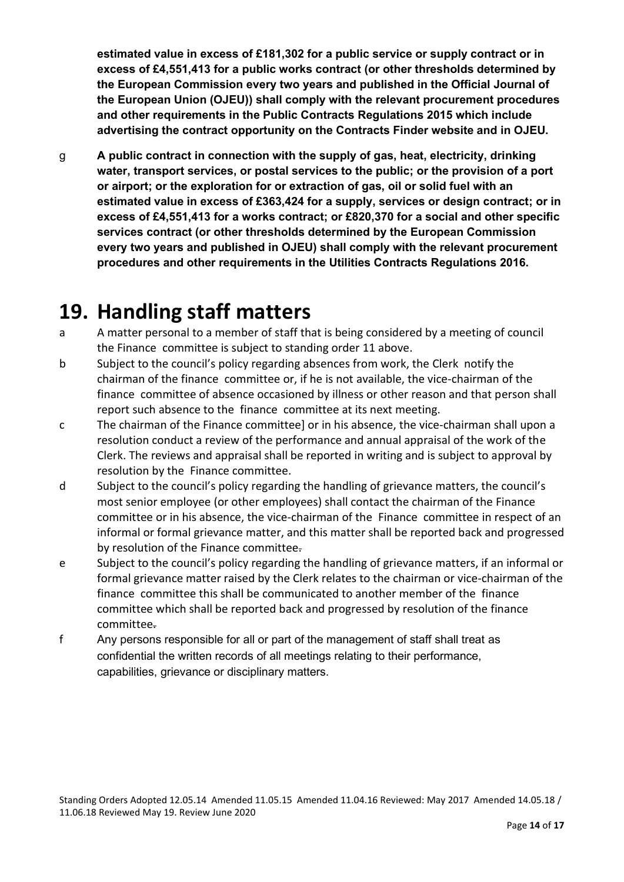**estimated value in excess of £181,302 for a public service or supply contract or in excess of £4,551,413 for a public works contract (or other thresholds determined by the European Commission every two years and published in the Official Journal of the European Union (OJEU)) shall comply with the relevant procurement procedures and other requirements in the Public Contracts Regulations 2015 which include advertising the contract opportunity on the Contracts Finder website and in OJEU.**

g **A public contract in connection with the supply of gas, heat, electricity, drinking water, transport services, or postal services to the public; or the provision of a port or airport; or the exploration for or extraction of gas, oil or solid fuel with an estimated value in excess of £363,424 for a supply, services or design contract; or in excess of £4,551,413 for a works contract; or £820,370 for a social and other specific services contract (or other thresholds determined by the European Commission every two years and published in OJEU) shall comply with the relevant procurement procedures and other requirements in the Utilities Contracts Regulations 2016.**

### **19. Handling staff matters**

- a A matter personal to a member of staff that is being considered by a meeting of council the Finance committee is subject to standing order 11 above.
- b Subject to the council's policy regarding absences from work, the Clerk notify the chairman of the finance committee or, if he is not available, the vice-chairman of the finance committee of absence occasioned by illness or other reason and that person shall report such absence to the finance committee at its next meeting.
- c The chairman of the Finance committee] or in his absence, the vice-chairman shall upon a resolution conduct a review of the performance and annual appraisal of the work of the Clerk. The reviews and appraisal shall be reported in writing and is subject to approval by resolution by the Finance committee.
- d Subject to the council's policy regarding the handling of grievance matters, the council's most senior employee (or other employees) shall contact the chairman of the Finance committee or in his absence, the vice-chairman of the Finance committee in respect of an informal or formal grievance matter, and this matter shall be reported back and progressed by resolution of the Finance committee.
- e Subject to the council's policy regarding the handling of grievance matters, if an informal or formal grievance matter raised by the Clerk relates to the chairman or vice-chairman of the finance committee this shall be communicated to another member of the finance committee which shall be reported back and progressed by resolution of the finance committee.
- f Any persons responsible for all or part of the management of staff shall treat as confidential the written records of all meetings relating to their performance, capabilities, grievance or disciplinary matters.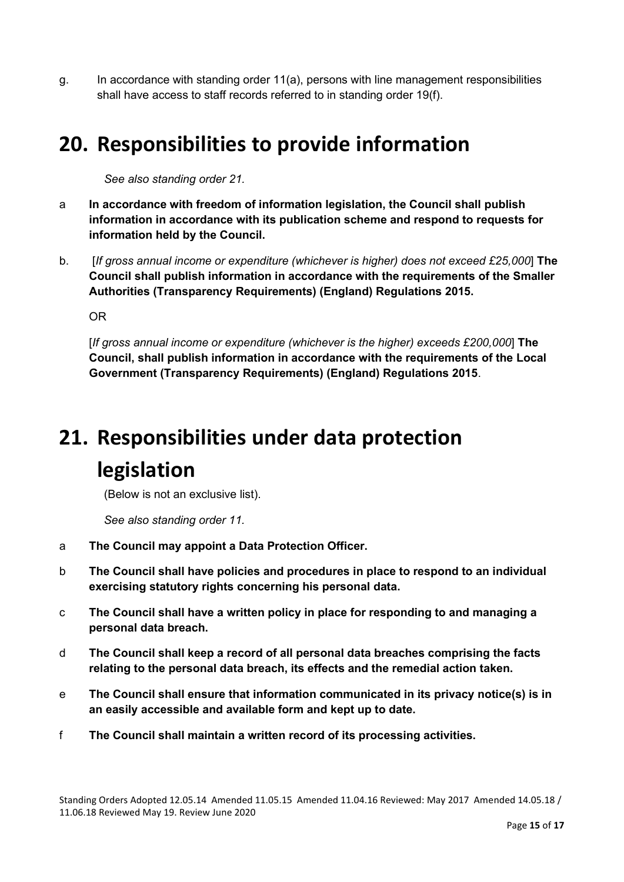g. In accordance with standing order  $11(a)$ , persons with line management responsibilities shall have access to staff records referred to in standing order 19(f).

### **20. Responsibilities to provide information**

*See also standing order 21.*

- a **In accordance with freedom of information legislation, the Council shall publish information in accordance with its publication scheme and respond to requests for information held by the Council.**
- b. [*If gross annual income or expenditure (whichever is higher) does not exceed £25,000*] **The Council shall publish information in accordance with the requirements of the Smaller Authorities (Transparency Requirements) (England) Regulations 2015.**

OR

[*If gross annual income or expenditure (whichever is the higher) exceeds £200,000*] **The Council, shall publish information in accordance with the requirements of the Local Government (Transparency Requirements) (England) Regulations 2015**.

## **21. Responsibilities under data protection legislation**

(Below is not an exclusive list).

*See also standing order 11.*

- a **The Council may appoint a Data Protection Officer.**
- b **The Council shall have policies and procedures in place to respond to an individual exercising statutory rights concerning his personal data.**
- c **The Council shall have a written policy in place for responding to and managing a personal data breach.**
- d **The Council shall keep a record of all personal data breaches comprising the facts relating to the personal data breach, its effects and the remedial action taken.**
- e **The Council shall ensure that information communicated in its privacy notice(s) is in an easily accessible and available form and kept up to date.**
- f **The Council shall maintain a written record of its processing activities.**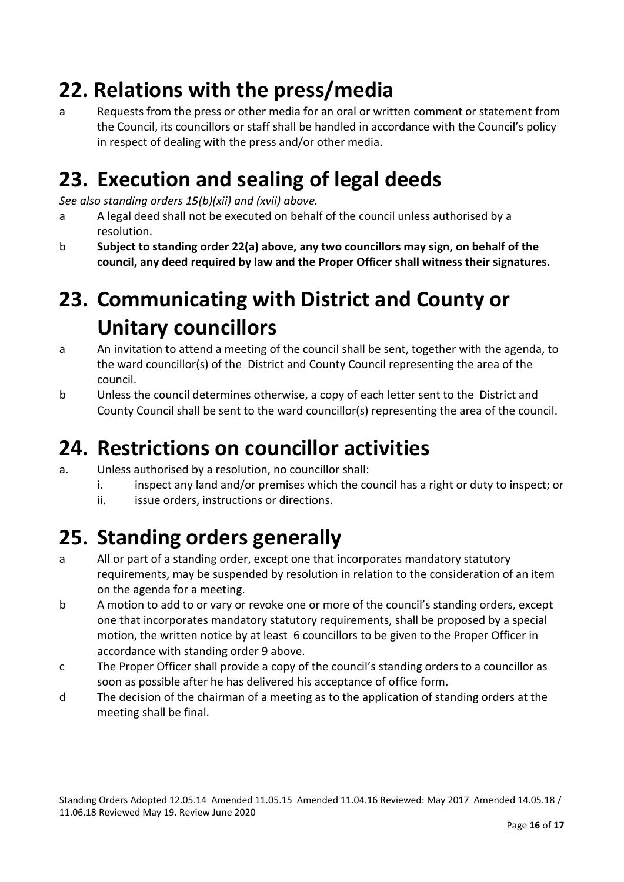## **22. Relations with the press/media**

a Requests from the press or other media for an oral or written comment or statement from the Council, its councillors or staff shall be handled in accordance with the Council's policy in respect of dealing with the press and/or other media.

## **23. Execution and sealing of legal deeds**

*See also standing orders 15(b)(xii) and (xvii) above.*

- a A legal deed shall not be executed on behalf of the council unless authorised by a resolution.
- b **Subject to standing order 22(a) above, any two councillors may sign, on behalf of the council, any deed required by law and the Proper Officer shall witness their signatures.**

## **23. Communicating with District and County or Unitary councillors**

- a An invitation to attend a meeting of the council shall be sent, together with the agenda, to the ward councillor(s) of the District and County Council representing the area of the council.
- b Unless the council determines otherwise, a copy of each letter sent to the District and County Council shall be sent to the ward councillor(s) representing the area of the council.

## **24. Restrictions on councillor activities**

- a. Unless authorised by a resolution, no councillor shall:
	- i. inspect any land and/or premises which the council has a right or duty to inspect; or
	- ii. issue orders, instructions or directions.

## **25. Standing orders generally**

- a All or part of a standing order, except one that incorporates mandatory statutory requirements, may be suspended by resolution in relation to the consideration of an item on the agenda for a meeting.
- b A motion to add to or vary or revoke one or more of the council's standing orders, except one that incorporates mandatory statutory requirements, shall be proposed by a special motion, the written notice by at least 6 councillors to be given to the Proper Officer in accordance with standing order 9 above.
- c The Proper Officer shall provide a copy of the council's standing orders to a councillor as soon as possible after he has delivered his acceptance of office form.
- d The decision of the chairman of a meeting as to the application of standing orders at the meeting shall be final.